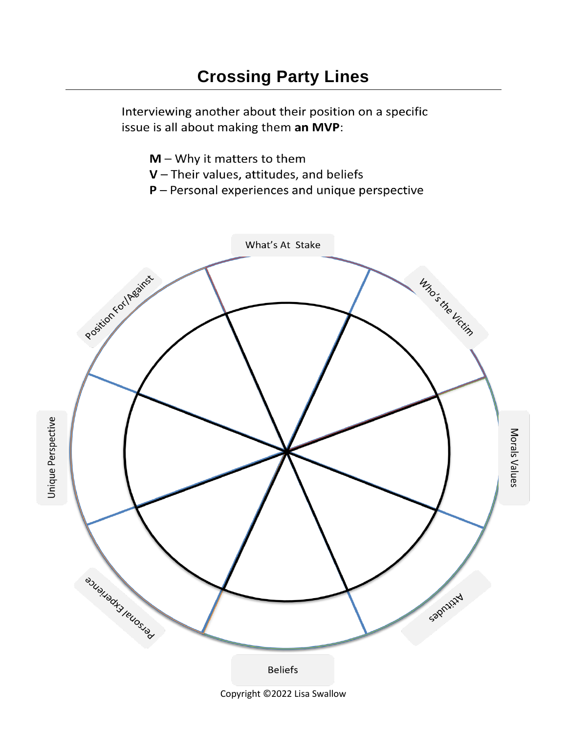Interviewing another about their position on a specific issue is all about making them an MVP:

- $M W$ hy it matters to them
- $V$  Their values, attitudes, and beliefs
- $P$  Personal experiences and unique perspective



Copyright ©2022 Lisa Swallow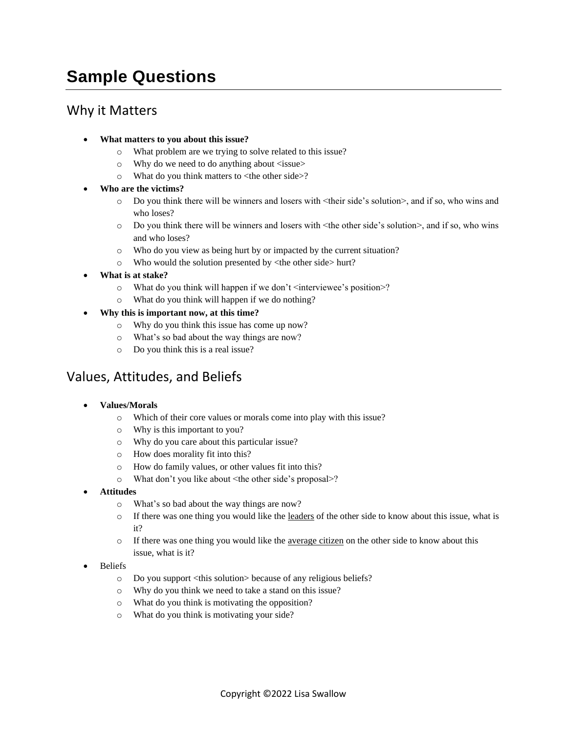# **Sample Questions**

## Why it Matters

- **What matters to you about this issue?**
	- o What problem are we trying to solve related to this issue?
	- $\circ$  Why do we need to do anything about  $\le$ issue $>$
	- o What do you think matters to <the other side>?
- **Who are the victims?**
	- o Do you think there will be winners and losers with <their side's solution>, and if so, who wins and who loses?
	- o Do you think there will be winners and losers with <the other side's solution>, and if so, who wins and who loses?
	- o Who do you view as being hurt by or impacted by the current situation?
	- o Who would the solution presented by <the other side> hurt?
- **What is at stake?**
	- $\circ$  What do you think will happen if we don't  $\leq$  interviewee's position  $\geq$ ?
	- o What do you think will happen if we do nothing?
- **Why this is important now, at this time?**
	- o Why do you think this issue has come up now?
	- o What's so bad about the way things are now?
	- o Do you think this is a real issue?

### Values, Attitudes, and Beliefs

- **Values/Morals**
	- o Which of their core values or morals come into play with this issue?
	- o Why is this important to you?
	- o Why do you care about this particular issue?
	- o How does morality fit into this?
	- o How do family values, or other values fit into this?
	- o What don't you like about <the other side's proposal>?
- **Attitudes**
	- o What's so bad about the way things are now?
	- $\circ$  If there was one thing you would like the leaders of the other side to know about this issue, what is it?
	- $\circ$  If there was one thing you would like the <u>average citizen</u> on the other side to know about this issue, what is it?
- Beliefs
	- o Do you support <this solution> because of any religious beliefs?
	- o Why do you think we need to take a stand on this issue?
	- o What do you think is motivating the opposition?
	- o What do you think is motivating your side?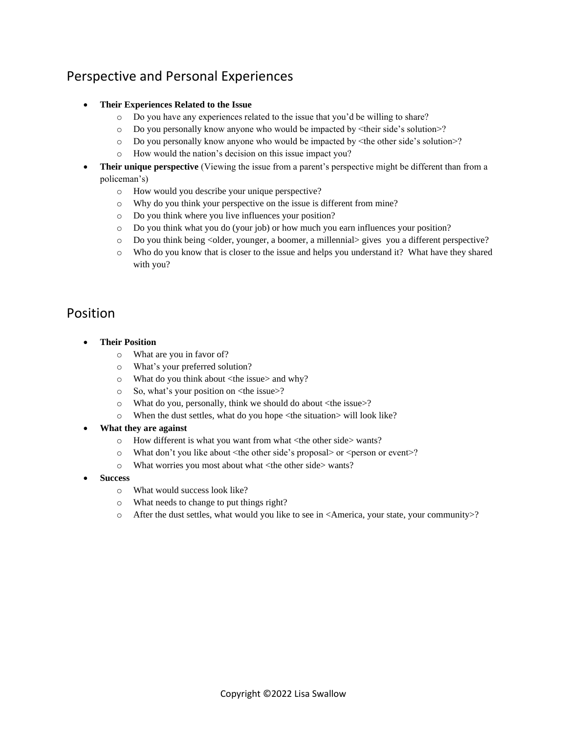# Perspective and Personal Experiences

#### • **Their Experiences Related to the Issue**

- o Do you have any experiences related to the issue that you'd be willing to share?
- o Do you personally know anyone who would be impacted by <their side's solution>?
- o Do you personally know anyone who would be impacted by <the other side's solution>?
- o How would the nation's decision on this issue impact you?
- **Their unique perspective** (Viewing the issue from a parent's perspective might be different than from a policeman's)
	- o How would you describe your unique perspective?
	- o Why do you think your perspective on the issue is different from mine?
	- o Do you think where you live influences your position?
	- o Do you think what you do (your job) or how much you earn influences your position?
	- o Do you think being <older, younger, a boomer, a millennial> gives you a different perspective?
	- o Who do you know that is closer to the issue and helps you understand it? What have they shared with you?

#### Position

- **Their Position**
	- o What are you in favor of?
	- o What's your preferred solution?
	- o What do you think about <the issue> and why?
	- o So, what's your position on <the issue>?
	- o What do you, personally, think we should do about <the issue>?
	- o When the dust settles, what do you hope <the situation> will look like?
- **What they are against**
	- o How different is what you want from what <the other side> wants?
	- o What don't you like about <the other side's proposal> or <person or event>?
	- o What worries you most about what <the other side> wants?
- **Success**
	- o What would success look like?
	- o What needs to change to put things right?
	- o After the dust settles, what would you like to see in <America, your state, your community>?